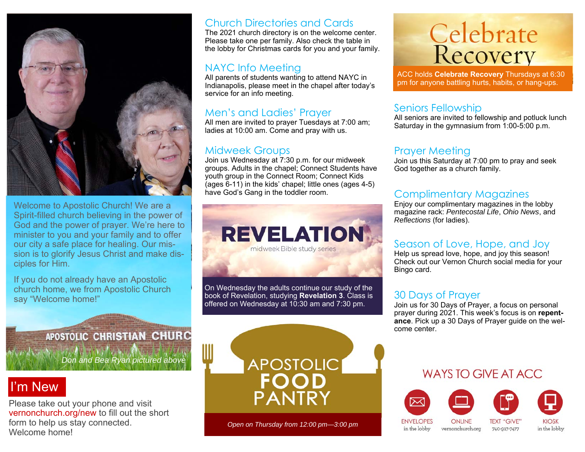

Welcome to Apostolic Church! We are a Spirit-filled church believing in the power of God and the power of prayer. We're here to minister to you and your family and to offer our city a safe place for healing. Our mission is to glorify Jesus Christ and make disciples for Him.

If you do not already have an Apostolic church home, we from Apostolic Church say "Welcome home!"

#### Church Directories and Cards

The 2021 church directory is on the welcome center. Please take one per family. Also check the table in the lobby for Christmas cards for you and your family.

#### NAYC Info Meeting

All parents of students wanting to attend NAYC in Indianapolis, please meet in the chapel after today's service for an info meeting.

#### Men's and Ladies' Prayer

All men are invited to prayer Tuesdays at 7:00 am; ladies at 10:00 am. Come and pray with us.

#### Midweek Groups

Join us Wednesday at 7:30 p.m. for our midweek groups. Adults in the chapel; Connect Students have youth group in the Connect Room; Connect Kids (ages 6-11) in the kids' chapel; little ones (ages 4-5) have God's Gang in the toddler room.



On Wednesday the adults continue our study of the book of Revelation, studying **Revelation 3**. Class is offered on Wednesday at 10:30 am and 7:30 pm.

# **Celebrate**<br>Recovery

ACC holds **Celebrate Recovery** Thursdays at 6:30 pm for anyone battling hurts, habits, or hang-ups.

#### Seniors Fellowship

All seniors are invited to fellowship and potluck lunch Saturday in the gymnasium from 1:00-5:00 p.m.

#### Prayer Meeting

Join us this Saturday at 7:00 pm to pray and seek God together as a church family.

#### Complimentary Magazines

Enjoy our complimentary magazines in the lobby magazine rack: *Pentecostal Life*, *Ohio News*, and *Reflections* (for ladies).

#### Season of Love, Hope, and Joy

Help us spread love, hope, and joy this season! Check out our Vernon Church social media for your Bingo card.

#### 30 Days of Prayer

Join us for 30 Days of Prayer, a focus on personal prayer during 2021. This week's focus is on **repentance**. Pick up a 30 Days of Prayer guide on the welcome center.

#### **APOSTOLIC CHRISTIAN CHURC**

*Don and Bea Ryan pictured above* 

## I'm New

Please take out your phone and visit vernonchurch.org/new to fill out the short form to help us stay connected. Welcome home!



*Open on Thursday from 12:00 pm—3:00 pm* 

#### WAYS TO GIVE AT ACC